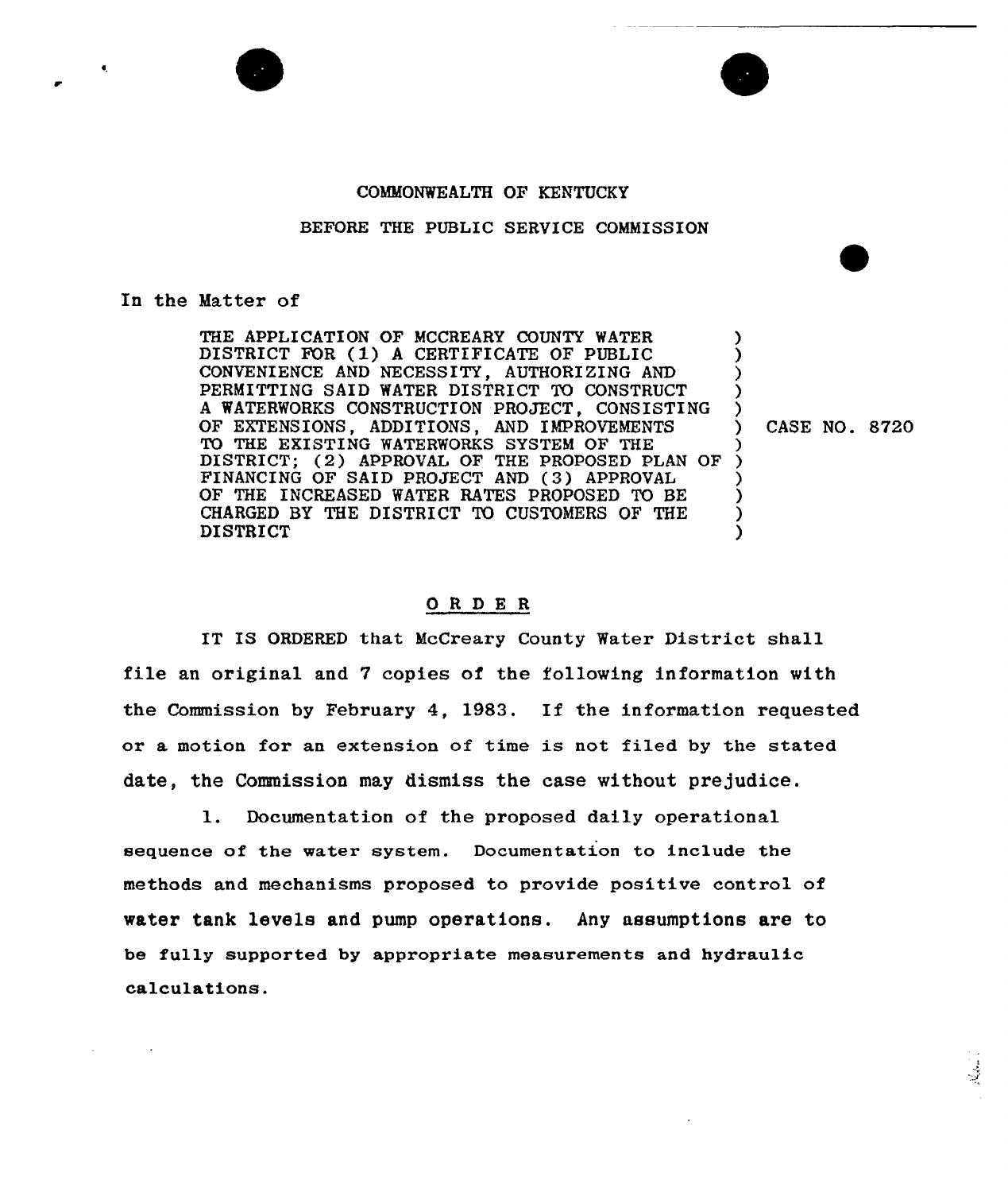## COMMONWEALTH OF KENTUCKY

# BEFORE THE PUBLIC SERVICE COMMISSION

#### In the Matter of

THE APPLICATION OF MCCREARY COUNTY WATER DISTRICT FOR (1) <sup>A</sup> CERTIFICATE OF PUBLIC CONVENIENCE AND NECESSITY, AUTHORIZING AND PERMITTING SAID WATER DISTRICT TO CONSTRUCT A WATERWORKS CONSTRUCTION PROJECT, CONSISTING OF EXTENSIONS, ADDITIONS, AND IMPROVEMENTS TO THE EXISTING WATERWORKS SYSTEM OF THE DISTRICT; (2) APPROVAL OF THE PROPOSED PLAN OF FINANCING OF SAID PROJECT AND (3) APPROVAL OF THE INCREASED WATER RATES PROPOSED TO BE CHARGED BY THE DISTRICT TO CUSTOMERS OF THE DISTRICT

) CASE NO. 8720

) ) ) ) )

) ) ) ) ) )

### ORDE <sup>R</sup>

IT IS ORDERED that McCreary County Watex District shall file an original and 7 copies of the following information with the Commission by February 4, 1983. If the information requested or a motion for an extension of time is not filed by the stated date, the Commission may dismiss the case without prejudice.

1. Documentation of the proposed daily operational sequence of the water system. Documentation to include the methods and mechanisms proposed to provide positive control of water tank levels and pump operations. Any assumptions are to be fully supported by appropriate measurements and hydraulic calculations.